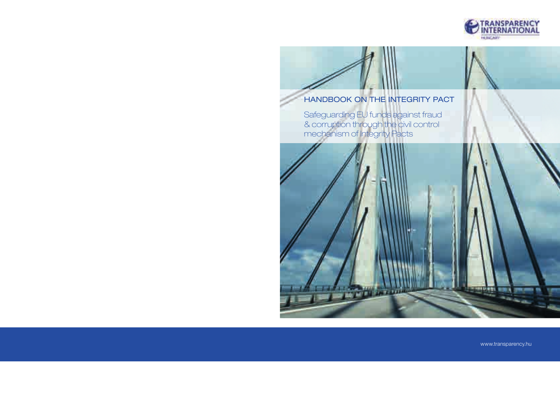

# HANDBOOK ON THE INTEGRITY PACT

Safeguarding EU funds against fraud & corruption through the civil control mechanism of Integrity Pacts



www.transparency.hu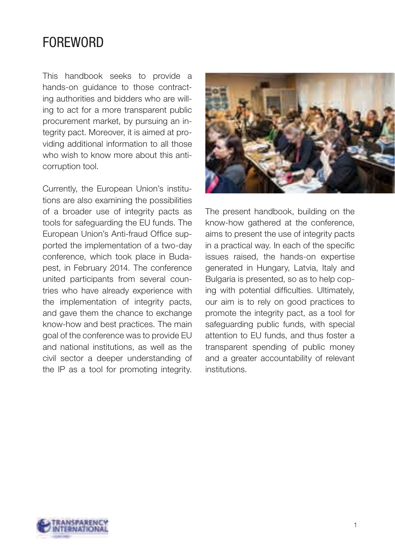# FOREWORD

This handbook seeks to provide a hands-on guidance to those contracting authorities and bidders who are willing to act for a more transparent public procurement market, by pursuing an integrity pact. Moreover, it is aimed at providing additional information to all those who wish to know more about this anticorruption tool.

Currently, the European Union's institutions are also examining the possibilities of a broader use of integrity pacts as tools for safeguarding the EU funds. The European Union's Anti-fraud Office supported the implementation of a two-day conference, which took place in Budapest, in February 2014. The conference united participants from several countries who have already experience with the implementation of integrity pacts, and gave them the chance to exchange know-how and best practices. The main goal of the conference was to provide EU and national institutions, as well as the civil sector a deeper understanding of the IP as a tool for promoting integrity.



The present handbook, building on the know-how gathered at the conference, aims to present the use of integrity pacts in a practical way. In each of the specific issues raised, the hands-on expertise generated in Hungary, Latvia, Italy and Bulgaria is presented, so as to help coping with potential difficulties. Ultimately, our aim is to rely on good practices to promote the integrity pact, as a tool for safeguarding public funds, with special attention to EU funds, and thus foster a transparent spending of public money and a greater accountability of relevant institutions.

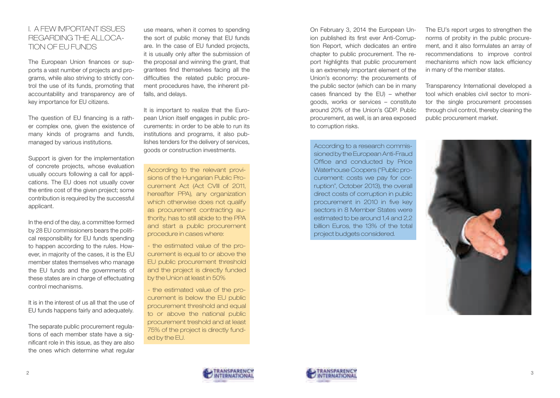### I. A FEW IMPORTANT ISSUES REGARDING THE ALLOCA-TION OF EU FUNDS

The European Union finances or supports a vast number of projects and programs, while also striving to strictly control the use of its funds, promoting that accountability and transparency are of key importance for EU citizens.

The question of EU financing is a rather complex one, given the existence of many kinds of programs and funds, managed by various institutions.

Support is given for the implementation of concrete projects, whose evaluation usually occurs following a call for applications. The EU does not usually cover the entire cost of the given project; some contribution is required by the successful applicant.

In the end of the day, a committee formed by 28 EU commissioners bears the political responsibility for EU funds spending to happen according to the rules. However, in majority of the cases, it is the EU member states themselves who manage the EU funds and the governments of these states are in charge of effectuating control mechanisms.

It is in the interest of us all that the use of EU funds happens fairly and adequately.

The separate public procurement regulations of each member state have a significant role in this issue, as they are also the ones which determine what regular use means, when it comes to spending the sort of public money that EU funds are. In the case of EU funded projects, it is usually only after the submission of the proposal and winning the grant, that grantees find themselves facing all the difficulties the related public procurement procedures have, the inherent pitfalls, and delays.

It is important to realize that the European Union itself engages in public procurements: in order to be able to run its institutions and programs, it also publishes tenders for the delivery of services, goods or construction investments.

According to the relevant provisions of the Hungarian Public Procurement Act (Act CVIII of 2011, hereafter PPA), any organization which otherwise does not qualify as procurement contracting authority, has to still abide to the PPA and start a public procurement procedure in cases where:

- the estimated value of the procurement is equal to or above the EU public procurement threshold and the project is directly funded by the Union at least in 50%

- the estimated value of the procurement is below the EU public procurement threshold and equal to or above the national public procurement treshold and at least 75% of the project is directly funded by the EU.

On February 3, 2014 the European Union published its first ever Anti-Corruption Report, which dedicates an entire chapter to public procurement. The report highlights that public procurement is an extremely important element of the Union's economy: the procurements of the public sector (which can be in many cases financed by the EU) – whether goods, works or services – constitute around 20% of the Union's GDP. Public procurement, as well, is an area exposed to corruption risks.

According to a research commissioned by the European Anti-Fraud Office and conducted by Price Waterhouse Coopers ("Public procurement: costs we pay for corruption", October 2013), the overall direct costs of corruption in public procurement in 2010 in five key sectors in 8 Member States were estimated to be around 1.4 and 2.2 billion Euros, the 13% of the total project budgets considered.

The EU's report urges to strengthen the norms of probity in the public procurement, and it also formulates an array of recommendations to improve control mechanisms which now lack efficiency in many of the member states.

Transparency International developed a tool which enables civil sector to monitor the single procurement processes through civil control, thereby cleaning the public procurement market.



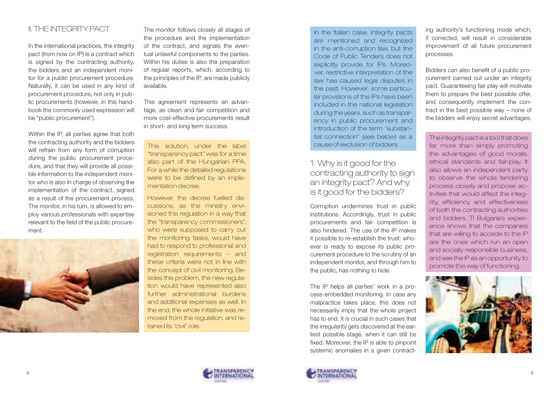# II. THE INTEGRITY PACT

In the international practices, the integrity pact (from now on IP) is a contract which is signed by the contracting authority, the bidders and an independent monitor for a public procurement procedure. Naturally, it can be used in any kind of procurement procedure, not only in public procurements (however, in this handbook the commonly used expression will be "public procurement").

Within the IP, all parties agree that both the contracting authority and the bidders will refrain from any form of corruption during the public procurement procedure, and that they will provide all possible information to the independent monitor who is also in charge of observing the implementation of the contract, signed as a result of the procurement process. The monitor, in his turn, is allowed to employ various professionals with expertise relevant to the field of the public procurement.



The monitor follows closely all stages of the procedure and the implementation of the contract, and signals the eventual unlawful components to the parties. Within his duties is also the preparation of regular reports, which, according to the principles of the IP, are made publicly available.

This agreement represents an advantage, as clean and fair competition and more cost-effective procurements result in short- and long term success.

This solution, under the label "transparency pact" was for a time also part of the Hungarian PPA. For a while the detailed regulations were to be defined by an implementation decree.

However, the decree fuelled discussions, as the ministry envisioned this regulation in a way that the "transparency commissioners", who were supposed to carry out the monitoring tasks, would have had to respond to professional and registration requirements – and these criteria were not in line with the concept of civil monitoring. Besides this problem, the new regulation would have represented also further administrational burdens and additional expenses as well. In the end, the whole initiative was removed from the regulation, and retained its "civil" role.

In the Italian case, integrity pacts are mentioned and recognized in the anti-corruption law, but the Code of Public Tenders does not explicitly provide for IPs. Moreover, restrictive interpretation of the law has caused legal disputes in the past. However, some particular provisions of the IPs have been included in the national legislation during the years, such as transparency in public procurement and introduction of the term "substantial connection" (see below) as a cause of exclusion of bidders.

# 1. Why is it good for the contracting authority to sign an integrity pact? And why is it good for the bidders?

Corruption undermines trust in public institutions. Accordingly, trust in public procurements and fair competition is also hindered. The use of the IP makes it possible to re-establish the trust: whoever is ready to expose its public procurement procedure to the scrutiny of an independent monitor, and through him to the public, has nothing to hide.

The IP helps all parties' work in a process-embedded monitoring. In case any malpractice takes place, this does not necessarily imply that the whole project has to end. It is crucial in such cases that the irregularity gets discovered at the earliest possible stage, when it can still be fixed. Moreover, the IP is able to pinpoint systemic anomalies in a given contract-



ing authority's functioning mode which, if corrected, will result in considerable improvement of all future procurement processes.

Bidders can also benefit of a public procurement carried out under an integrity pact. Guaranteeing fair play will motivate them to prepare the best possible offer, and consequently implement the contract in the best possible way – none of the bidders will enjoy secret advantages.

The integrity pact is a tool that does far more than simply promoting the advantages of good morals, ethical standards and fair-play. It also allows an independent party to observe the whole tendering process closely and propose activities that would affect the integrity, efficiency and effectiveness of both the contracting authorities and bidders. TI Bulgaria's experience shows that the companies that are willing to accede to the IP are the ones which run an open and socially responsible business, and see the IP as an opportunity to promote this way of functioning.

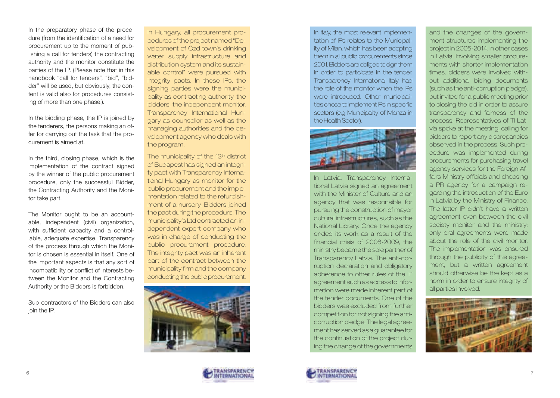In the preparatory phase of the procedure (from the identification of a need for procurement up to the moment of publishing a call for tenders) the contracting authority and the monitor constitute the parties of the IP. (Please note that in this handbook "call for tenders", "bid", "bidder" will be used, but obviously, the content is valid also for procedures consisting of more than one phase.).

In the bidding phase, the IP is joined by the tenderers, the persons making an offer for carrying out the task that the procurement is aimed at.

In the third, closing phase, which is the implementation of the contract signed by the winner of the public procurement procedure, only the successful Bidder, the Contracting Authority and the Monitor take part.

The Monitor ought to be an accountable, independent (civil) organization, with sufficient capacity and a controllable, adequate expertise. Transparency of the process through which the Monitor is chosen is essential in itself. One of the important aspects is that any sort of incompatibility or conflict of interests between the Monitor and the Contracting Authority or the Bidders is forbidden.

Sub-contractors of the Bidders can also join the IP.

In Hungary, all procurement procedures of the project named "Development of Ózd town's drinking water supply infrastructure and distribution system and its sustainable control" were pursued with integrity pacts. In these IPs, the signing parties were the municipality as contracting authority, the bidders, the independent monitor, Transparency International Hungary as counsellor as well as the managing authorities and the development agency who deals with the program.

The municipality of the 13<sup>th</sup> district of Budapest has signed an integrity pact with Transparency International Hungary as monitor for the public procurement and the implementation related to the refurbishment of a nursery. Bidders joined the pact during the procedure. The municipality's Ltd contracted an independent expert company who was in charge of conducting the public procurement procedure. The integrity pact was an inherent part of the contract between the municipality firm and the company conducting the public procurement.





In Italy, the most relevant implementation of IPs relates to the Municipality of Milan, which has been adopting them in all public procurements since 2001. Bidders are obliged to sign them in order to participate in the tender. Transparency International Italy had the role of the monitor when the IPs were introduced. Other municipalities chose to implement IPs in specific sectors (e.g Municipality of Monza in the Health Sector).



In Latvia, Transparency International Latvia signed an agreement with the Minister of Culture and an agency that was responsible for pursuing the construction of mayor cultural infrastructures, such as the National Library. Once the agency ended its work as a result of the financial crisis of 2008-2009, the ministry became the sole partner of Transparency Latvia. The anti-corruption declaration and obligatory adherence to other rules of the IP agreement such as access to information were made inherent part of the tender documents. One of the bidders was excluded from further competition for not signing the anticorruption pledge. The legal agreement has served as a guarantee for the continuation of the project during the change of the governments



and the changes of the government structures implementing the project in 2005-2014. In other cases in Latvia, involving smaller procurements with shorter implementation times, bidders were involved without additional biding documents (such as the anti-corruption pledge), but invited for a public meeting prior to closing the bid in order to assure transparency and fairness of the process. Representatives of TI Latvia spoke at the meeting, calling for bidders to report any discrepancies observed in the process. Such procedure was implemented during procurements for purchasing travel agency services for the Foreign Affairs Ministry officials and choosing a PR agency for a campaign regarding the introduction of the Euro in Latvia by the Ministry of Finance. The latter IP didn't have a written agreement even between the civil society monitor and the ministry; only oral agreements were made about the role of the civil monitor. The implementation was ensured through the publicity of this agreement, but a written agreement should otherwise be the kept as a norm in order to ensure integrity of all parties involved.

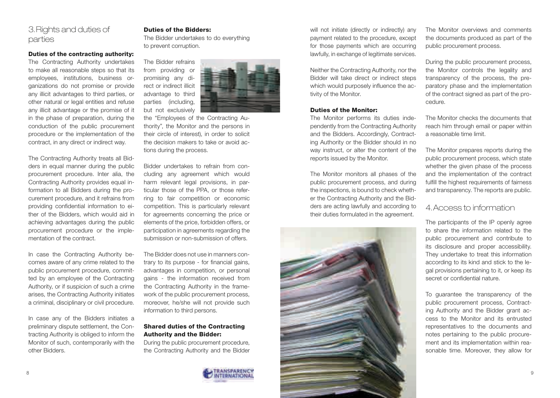# 3.Rights and duties of parties

#### Duties of the contracting authority:

The Contracting Authority undertakes to make all reasonable steps so that its employees, institutions, business organizations do not promise or provide any illicit advantages to third parties, or other natural or legal entities and refuse any illicit advantage or the promise of it in the phase of preparation, during the conduction of the public procurement procedure or the implementation of the contract, in any direct or indirect way.

The Contracting Authority treats all Bidders in equal manner during the public procurement procedure. Inter alia, the Contracting Authority provides equal information to all Bidders during the procurement procedure, and it refrains from providing confidential information to either of the Bidders, which would aid in achieving advantages during the public procurement procedure or the implementation of the contract.

In case the Contracting Authority becomes aware of any crime related to the public procurement procedure, committed by an employee of the Contracting Authority, or if suspicion of such a crime arises, the Contracting Authority initiates a criminal, disciplinary or civil procedure.

In case any of the Bidders initiates a preliminary dispute settlement, the Contracting Authority is obliged to inform the Monitor of such, contemporarily with the other Bidders.

#### Duties of the Bidders:

The Bidder undertakes to do everything to prevent corruption.



the "Employees of the Contracting Authority", the Monitor and the persons in their circle of interest), in order to solicit the decision makers to take or avoid actions during the process.

Bidder undertakes to refrain from concluding any agreement which would harm relevant legal provisions, in particular those of the PPA, or those referring to fair competition or economic competition. This is particularly relevant for agreements concerning the price or elements of the price, forbidden offers, or participation in agreements regarding the submission or non-submission of offers.

The Bidder does not use in manners contrary to its purpose - for financial gains, advantages in competition, or personal gains - the information received from the Contracting Authority in the framework of the public procurement process, moreover, he/she will not provide such information to third persons.

#### Shared duties of the Contracting Authority and the Bidder:

During the public procurement procedure, the Contracting Authority and the Bidder



will not initiate (directly or indirectly) any payment related to the procedure, except for those payments which are occurring lawfully, in exchange of legitimate services.

Neither the Contracting Authority, nor the Bidder will take direct or indirect steps which would purposely influence the activity of the Monitor.

#### Duties of the Monitor:

The Monitor performs its duties independently from the Contracting Authority and the Bidders. Accordingly, Contracting Authority or the Bidder should in no way instruct, or alter the content of the reports issued by the Monitor.

The Monitor monitors all phases of the public procurement process, and during the inspections, is bound to check whether the Contracting Authority and the Bidders are acting lawfully and according to their duties formulated in the agreement.



The Monitor overviews and comments the documents produced as part of the public procurement process.

During the public procurement process, the Monitor controls the legality and transparency of the process, the preparatory phase and the implementation of the contract signed as part of the procedure.

The Monitor checks the documents that reach him through email or paper within a reasonable time limit.

The Monitor prepares reports during the public procurement process, which state whether the given phase of the process and the implementation of the contract fulfill the highest requirements of fairness and transparency. The reports are public.

# 4.Access to information

The participants of the IP openly agree to share the information related to the public procurement and contribute to its disclosure and proper accessibility. They undertake to treat this information according to its kind and stick to the legal provisions pertaining to it, or keep its secret or confidential nature.

To guarantee the transparency of the public procurement process, Contracting Authority and the Bidder grant access to the Monitor and its entrusted representatives to the documents and notes pertaining to the public procurement and its implementation within reasonable time. Moreover, they allow for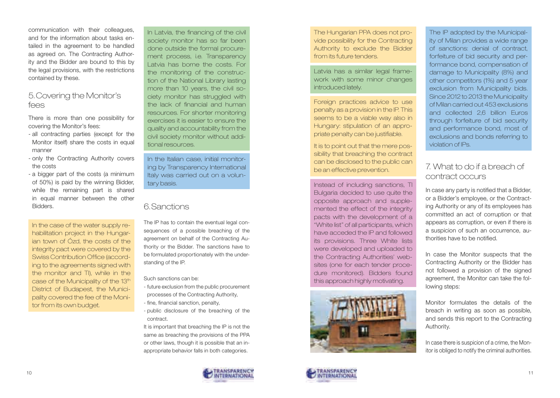communication with their colleagues, and for the information about tasks entailed in the agreement to be handled as agreed on. The Contracting Authority and the Bidder are bound to this by the legal provisions, with the restrictions contained by these.

### 5.Covering the Monitor's fees

There is more than one possibility for covering the Monitor's fees:

- all contracting parties (except for the Monitor itself) share the costs in equal manner
- only the Contracting Authority covers the costs
- a bigger part of the costs (a minimum of 50%) is paid by the winning Bidder, while the remaining part is shared in equal manner between the other Bidders.

In the case of the water supply rehabilitation project in the Hungarian town of Ózd, the costs of the integrity pact were covered by the Swiss Contribution Office (according to the agreements signed with the monitor and TI), while in the case of the Municipality of the 13<sup>th</sup> District of Budapest, the Municipality covered the fee of the Monitor from its own budget.

In Latvia, the financing of the civil society monitor has so far been done outside the formal procurement process, i.e. Transparency Latvia has borne the costs. For the monitoring of the construction of the National Library lasting more than 10 years, the civil society monitor has struggled with the lack of financial and human resources. For shorter monitoring exercises it is easier to ensure the quality and accountability from the civil society monitor without additional resources.

In the Italian case, initial monitoring by Transparency International Italy was carried out on a voluntary basis.

### 6.Sanctions

The IP has to contain the eventual legal consequences of a possible breaching of the agreement on behalf of the Contracting Authority or the Bidder. The sanctions have to be formulated proportionately with the understanding of the IP.

Such sanctions can be:

- future exclusion from the public procurement processes of the Contracting Authority,
- fine, financial sanction, penalty,
- public disclosure of the breaching of the contract.

It is important that breaching the IP is not the same as breaching the provisions of the PPA or other laws, though it is possible that an inappropriate behavior falls in both categories.



The Hungarian PPA does not provide possibility for the Contracting Authority to exclude the Bidder from its future tenders.

Latvia has a similar legal framework with some minor changes introduced lately.

Foreign practices advice to use penalty as a provision in the IP. This seems to be a viable way also in Hungary: stipulation of an appropriate penalty can be justifiable.

It is to point out that the mere possibility that breaching the contract can be disclosed to the public can be an effective prevention.

Instead of including sanctions, TI Bulgaria decided to use quite the opposite approach and supplemented the effect of the integrity pacts with the development of a "White list" of all participants, which have acceded the IP and followed its provisions. Three White lists were developed and uploaded to the Contracting Authorities' websites (one for each tender procedure monitored). Bidders found this approach highly motivating.





# 7. What to do if a breach of contract occurs

In case any party is notified that a Bidder, or a Bidder's employee, or the Contracting Authority or any of its employees has committed an act of corruption or that appears as corruption, or even if there is a suspicion of such an occurrence, authorities have to be notified.

In case the Monitor suspects that the Contracting Authority or the Bidder has not followed a provision of the signed agreement, the Monitor can take the following steps:

Monitor formulates the details of the breach in writing as soon as possible, and sends this report to the Contracting Authority.

In case there is suspicion of a crime, the Monitor is obliged to notify the criminal authorities.

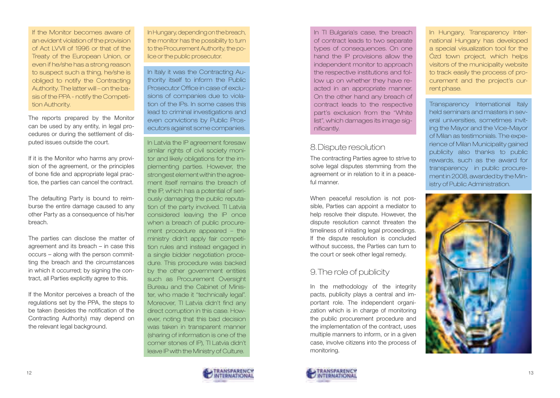If the Monitor becomes aware of an evident violation of the provision of Act LVVII of 1996 or that of the Treaty of the European Union, or even if he/she has a strong reason to suspect such a thing, he/she is obliged to notify the Contracting Authority. The latter will – on the basis of the PPA - notify the Competition Authority.

The reports prepared by the Monitor can be used by any entity, in legal procedures or during the settlement of disputed issues outside the court.

If it is the Monitor who harms any provision of the agreement, or the principles of bone fide and appropriate legal practice, the parties can cancel the contract.

The defaulting Party is bound to reimburse the entire damage caused to any other Party as a consequence of his/her breach.

The parties can disclose the matter of agreement and its breach – in case this occurs – along with the person committing the breach and the circumstances in which it occurred; by signing the contract, all Parties explicitly agree to this.

If the Monitor perceives a breach of the regulations set by the PPA, the steps to be taken (besides the notification of the Contracting Authority) may depend on the relevant legal background.

In Hungary, depending on the breach, the monitor has the possibility to turn to the Procurement Authority, the police or the public prosecutor.

In Italy it was the Contracting Authority itself to inform the Public Prosecutor Office in case of exclusions of companies due to violation of the IPs. In some cases this lead to criminal investigations and even convictions by Public Prosecutors against some companies.

In Latvia the IP agreement foresaw similar rights of civil society monitor and likely obligations for the implementing parties. However, the strongest element within the agreement itself remains the breach of the IP, which has a potential of seriously damaging the public reputation of the party involved. TI Latvia considered leaving the IP once when a breach of public procurement procedure appeared – the ministry didn't apply fair competition rules and instead engaged in a single bidder negotiation procedure. This procedure was backed by the other government entities such as Procurement Oversight Bureau and the Cabinet of Minister, who made it "technically legal". Moreover, TI Latvia didn't find any direct corruption in this case. However, noting that this bad decision was taken in transparent manner (sharing of information is one of the corner stones of IP), TI Latvia didn't leave IP with the Ministry of Culture.



In TI Bulgaria's case, the breach of contract leads to two separate types of consequences. On one hand the IP provisions allow the independent monitor to approach the respective institutions and follow up on whether they have reacted in an appropriate manner. On the other hand any breach of contract leads to the respective part's exclusion from the "White list", which damages its image significantly.

### 8.Dispute resolution

The contracting Parties agree to strive to solve legal disputes stemming from the agreement or in relation to it in a peaceful manner.

When peaceful resolution is not possible, Parties can appoint a mediator to help resolve their dispute. However, the dispute resolution cannot threaten the timeliness of initiating legal proceedings. If the dispute resolution is concluded without success, the Parties can turn to the court or seek other legal remedy.

# 9.The role of publicity

In the methodology of the integrity pacts, publicity plays a central and important role. The independent organization which is in charge of monitoring the public procurement procedure and the implementation of the contract, uses multiple manners to inform, or in a given case, involve citizens into the process of monitoring.



In Hungary, Transparency International Hungary has developed a special visualization tool for the Ózd town project, which helps visitors of the municipality website to track easily the process of procurement and the project's current phase.

Transparency International Italy held seminars and masters in several universities, sometimes inviting the Mayor and the Vice-Mayor of Milan as testimonials. The experience of Milan Municipality gained publicity also thanks to public rewards, such as the award for transparency in public procurement in 2008, awarded by the Ministry of Public Administration.

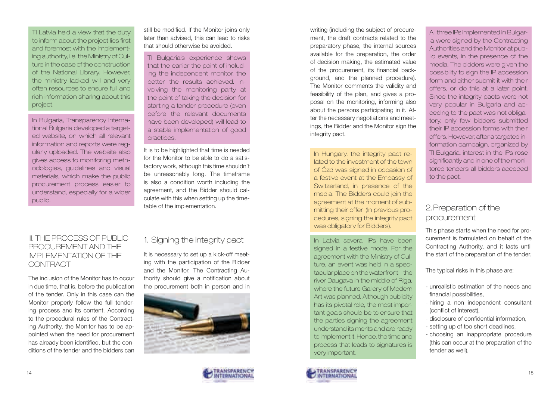TI Latvia held a view that the duty to inform about the project lies first and foremost with the implementing authority, i.e. the Ministry of Culture in the case of the construction of the National Library. However, the ministry lacked will and very often resources to ensure full and rich information sharing about this project.

In Bulgaria, Transparency International Bulgaria developed a targeted website, on which all relevant information and reports were regularly uploaded. The website also gives access to monitoring methodologies, guidelines and visual materials, which make the public procurement process easier to understand, especially for a wider public.

still be modified. If the Monitor joins only later than advised, this can lead to risks that should otherwise be avoided.

TI Bulgaria's experience shows that the earlier the point of including the independent monitor, the better the results achieved. Involving the monitoring party at the point of taking the decision for starting a tender procedure (even before the relevant documents have been developed) will lead to a stable implementation of good practices.

It is to be highlighted that time is needed for the Monitor to be able to do a satisfactory work, although this time shouldn't be unreasonably long. The timeframe is also a condition worth including the agreement, and the Bidder should calculate with this when setting up the timetable of the implementation.

### III. THE PROCESS OF PUBLIC PROCUREMENT AND THE IMPLEMENTATION OF THE **CONTRACT**

The inclusion of the Monitor has to occur in due time, that is, before the publication of the tender. Only in this case can the Monitor properly follow the full tendering process and its content. According to the procedural rules of the Contracting Authority, the Monitor has to be appointed when the need for procurement has already been identified, but the conditions of the tender and the bidders can

# 1. Signing the integrity pact

It is necessary to set up a kick-off meeting with the participation of the Bidder and the Monitor. The Contracting Authority should give a notification about the procurement both in person and in





writing (including the subject of procurement, the draft contracts related to the preparatory phase, the internal sources available for the preparation, the order of decision making, the estimated value of the procurement, its financial background, and the planned procedure). The Monitor comments the validity and feasibility of the plan, and gives a proposal on the monitoring, informing also about the persons participating in it. After the necessary negotiations and meetings, the Bidder and the Monitor sign the integrity pact.

In Hungary, the integrity pact related to the investment of the town of Ózd was signed in occasion of a festive event at the Embassy of Switzerland, in presence of the media. The Bidders could join the agreement at the moment of submitting their offer. (In previous procedures, signing the integrity pact was obligatory for Bidders).

In Latvia several IPs have been signed in a festive mode. For the agreement with the Ministry of Culture, an event was held in a spectacular place on the waterfront – the river Daugava in the middle of Riga, where the future Gallery of Modern Art was planned. Although publicity has its pivotal role, the most important goals should be to ensure that the parties signing the agreement understand its merits and are ready to implement it. Hence, the time and process that leads to signatures is very important.



All three IPs implemented in Bulgaria were signed by the Contracting Authorities and the Monitor at public events, in the presence of the media. The bidders were given the possibility to sign the IP accession form and either submit it with their offers, or do this at a later point. Since the integrity pacts were not very popular in Bulgaria and acceding to the pact was not obligatory, only few bidders submitted their IP accession forms with their offers. However, after a targeted information campaign, organized by TI Bulgaria, interest in the IPs rose significantly and in one of the monitored tenders all bidders acceded to the pact.

# 2.Preparation of the procurement

This phase starts when the need for procurement is formulated on behalf of the Contracting Authority, and it lasts until the start of the preparation of the tender.

The typical risks in this phase are:

- unrealistic estimation of the needs and financial possibilities,
- hiring a non independent consultant (conflict of interest),
- disclosure of confidential information,
- setting up of too short deadlines,
- choosing an inappropriate procedure (this can occur at the preparation of the tender as well),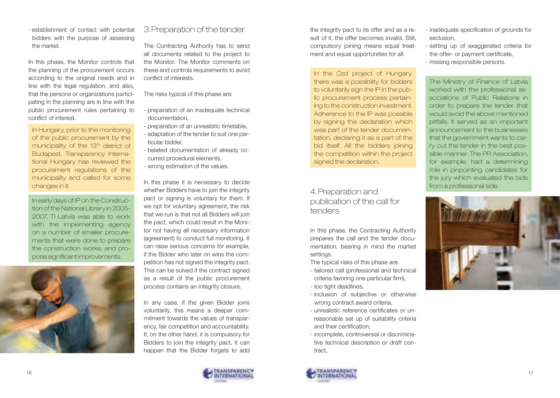- establishment of contact with potential bidders with the purpose of assessing the market.

In this phase, the Monitor controls that the planning of the procurement occurs according to the original needs and in line with the legal regulation, and also, that the persons or organizations participating in the planning are in line with the public procurement rules pertaining to conflict of interest.

In Hungary, prior to the monitoring of the public procurement by the municipality of the 13<sup>th</sup> district of Budapest, Transparency International Hungary has reviewed the procurement regulations of the municipality and called for some changes in it.

In early days of IP on the Construction of the National Library in 2005- 2007, TI Latvia was able to work with the implementing agency on a number of smaller procurements that were done to prepare the construction works, and propose significant improvements.

# 3.Preparation of the tender

The Contracting Authority has to send all documents related to the project to the Monitor. The Monitor comments on these and controls requirements to avoid conflict of interests.

The risks typical of this phase are:

- preparation of an inadequate technical documentation,
- preparation of an unrealistic timetable,
- adaptation of the tender to suit one particular bidder,
- belated documentation of already occurred procedural elements,
- wrong estimation of the values.

In this phase it is necessary to decide whether Bidders have to join the integrity pact or signing is voluntary for them. If we opt for voluntary agreement, the risk that we run is that not all Bidders will join the pact, which could result in the Monitor not having all necessary information (agreement) to conduct full monitoring. It can raise serious concerns for example, if the Bidder who later on wins the competition has not signed the integrity pact. This can be solved if the contract signed as a result of the public procurement process contains an integrity closure.

In any case, if the given Bidder joins voluntarily, this means a deeper commitment towards the values of transparency, fair competition and accountability. If, on the other hand, it is compulsory for Bidders to join the integrity pact, it can happen that the Bidder forgets to add the integrity pact to its offer and as a result of it, the offer becomes invalid. Still, compulsory joining means equal treatment and equal opportunities for all.

In the Ózd project of Hungary, there was a possibility for bidders to voluntarily sign the IP in the public procurement process pertaining to the construction investment. Adherence to the IP was possible by signing the declaration which was part of the tender documentation, declaring it as a part of the bid itself. All the bidders joining the competition within the project signed the declaration.

# 4.Preparation and publication of the call for tenders

In this phase, the Contracting Authority prepares the call and the tender documentation, bearing in mind the market settings.

The typical risks of this phase are:

- tailored call (professional and technical criteria favoring one particular firm),
- too tight deadlines,
- inclusion of subjective or otherwise wrong contract award criteria,
- unrealistic reference certificates or unreasonable set up of suitability criteria and their certification,
- incomplete, controversial or discriminative technical description or draft contract,



- setting up of exaggerated criteria for the offer- or payment certificate,
- missing responsible persons.

The Ministry of Finance of Latvia worked with the professional associations of Public Relations in order to prepare the tender that would avoid the above mentioned pitfalls. It served as an important announcement to the businesses that the government wants to carry out the tender in the best possible manner. The PR Association, for example, had a determining role in pinpointing candidates for the jury which evaluated the bids from a professional side.



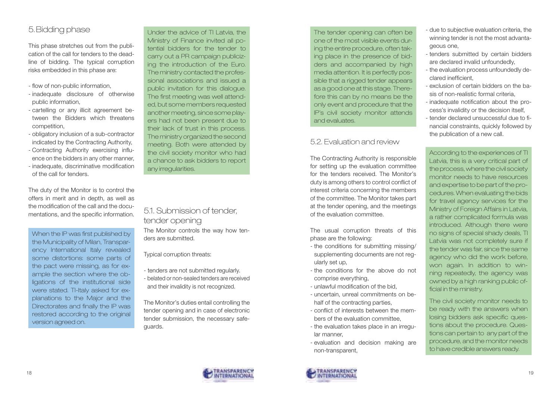# 5.Bidding phase

This phase stretches out from the publication of the call for tenders to the deadline of bidding. The typical corruption risks embedded in this phase are:

- flow of non-public information,
- inadequate disclosure of otherwise public information,
- cartelling or any illicit agreement between the Bidders which threatens competition,
- obligatory inclusion of a sub-contractor indicated by the Contracting Authority,
- Contracting Authority exercising influence on the bidders in any other manner,
- inadequate, discriminative modification of the call for tenders.

The duty of the Monitor is to control the offers in merit and in depth, as well as the modification of the call and the documentations, and the specific information.

When the IP was first published by the Municipality of Milan, Transparency International Italy revealed some distortions: some parts of the pact were missing, as for example the section where the obligations of the institutional side were stated. TI-Italy asked for explanations to the Major and the Directorates and finally the IP was restored according to the original version agreed on.

Under the advice of TI Latvia, the Ministry of Finance invited all potential bidders for the tender to carry out a PR campaign publicizing the introduction of the Euro. The ministry contacted the professional associations and issued a public invitation for this dialogue. The first meeting was well attended, but some members requested another meeting, since some players had not been present due to their lack of trust in this process. The ministry organized the second meeting. Both were attended by the civil society monitor who had a chance to ask bidders to report any irregularities.

### 5.1. Submission of tender, tender opening The Monitor controls the way how tenders are submitted.

Typical corruption threats:

- tenders are not submitted regularly.
- belated or non-sealed tenders are received and their invalidity is not recognized.

The Monitor's duties entail controlling the tender opening and in case of electronic tender submission, the necessary safeguards.

The tender opening can often be one of the most visible events during the entire procedure, often taking place in the presence of bidders and accompanied by high media attention. It is perfectly possible that a rigged tender appears as a good one at this stage. Therefore this can by no means be the only event and procedure that the IP's civil society monitor attends and evaluates.

# 5.2. Evaluation and review

The Contracting Authority is responsible for setting up the evaluation committee for the tenders received. The Monitor's duty is among others to control conflict of interest criteria concerning the members of the committee. The Monitor takes part at the tender opening, and the meetings of the evaluation committee.

The usual corruption threats of this phase are the following:

- the conditions for submitting missing/ supplementing documents are not regularly set up,
- the conditions for the above do not comprise everything,
- unlawful modification of the bid,
- uncertain, unreal commitments on behalf of the contracting parties.
- conflict of interests between the members of the evaluation committee,
- the evaluation takes place in an irregular manner,
- evaluation and decision making are non-transparent,



- tenders submitted by certain bidders are declared invalid unfoundedly,
- the evaluation process unfoundedly declared inefficient,
- exclusion of certain bidders on the basis of non-realistic formal criteria,
- inadequate notification about the process's invalidity or the decision itself,
- tender declared unsuccessful due to financial constraints, quickly followed by the publication of a new call.

According to the experiences of TI Latvia, this is a very critical part of the process, where the civil society monitor needs to have resources and expertise to be part of the procedures. When evaluating the bids for travel agency services for the Ministry of Foreign Affairs in Latvia, a rather complicated formula was introduced. Although there were no signs of special shady deals, TI Latvia was not completely sure if the tender was fair, since the same agency who did the work before, won again. In addition to winning repeatedly, the agency was owned by a high ranking public official in the ministry.

The civil society monitor needs to be ready with the answers when losing bidders ask specific questions about the procedure. Questions can pertain to any part of the procedure, and the monitor needs to have credible answers ready.

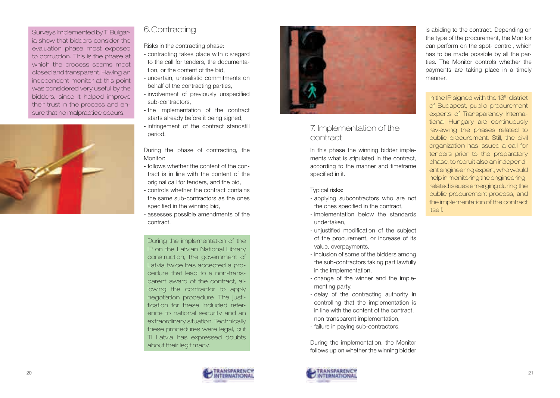Surveys implemented by TI Bulgaria show that bidders consider the evaluation phase most exposed to corruption. This is the phase at which the process seems most closed and transparent. Having an independent monitor at this point was considered very useful by the bidders, since it helped improve their trust in the process and ensure that no malpractice occurs.



# 6.Contracting

Risks in the contracting phase:

- contracting takes place with disregard to the call for tenders, the documentation, or the content of the bid,
- uncertain, unrealistic commitments on behalf of the contracting parties,
- involvement of previously unspecified sub-contractors,
- the implementation of the contract starts already before it being signed,
- infringement of the contract standstill period.

During the phase of contracting, the Monitor:

- follows whether the content of the contract is in line with the content of the original call for tenders, and the bid,
- controls whether the contract contains the same sub-contractors as the ones specified in the winning bid,
- assesses possible amendments of the contract.

During the implementation of the IP on the Latvian National Library construction, the government of Latvia twice has accepted a procedure that lead to a non-transparent award of the contract, allowing the contractor to apply negotiation procedure. The justification for these included reference to national security and an extraordinary situation. Technically these procedures were legal, but TI Latvia has expressed doubts about their legitimacy.



# 7. Implementation of the contract

In this phase the winning bidder implements what is stipulated in the contract, according to the manner and timeframe specified in it.

#### Typical risks:

- applying subcontractors who are not the ones specified in the contract,
- implementation below the standards undertaken,
- unjustified modification of the subject of the procurement, or increase of its value, overpayments,
- inclusion of some of the bidders among the sub-contractors taking part lawfully in the implementation,
- change of the winner and the implementing party,
- delay of the contracting authority in controlling that the implementation is in line with the content of the contract,
- non-transparent implementation,
- failure in paying sub-contractors.

During the implementation, the Monitor follows up on whether the winning bidder



is abiding to the contract. Depending on the type of the procurement, the Monitor can perform on the spot- control, which has to be made possible by all the parties. The Monitor controls whether the payments are taking place in a timely manner.

### In the IP signed with the 13<sup>th</sup> district of Budapest, public procurement experts of Transparency International Hungary are continuously reviewing the phases related to public procurement. Still, the civil organization has issued a call for tenders prior to the preparatory phase, to recruit also an independent engineering expert, who would help in monitoring the engineeringrelated issues emerging during the public procurement process, and the implementation of the contract itself.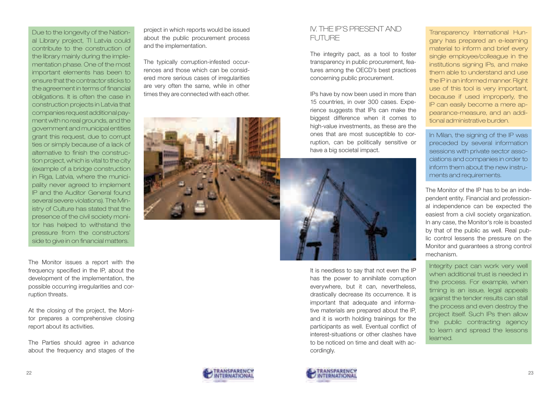Due to the longevity of the National Library project, TI Latvia could contribute to the construction of the library mainly during the implementation phase. One of the most important elements has been to ensure that the contractor sticks to the agreement in terms of financial obligations. It is often the case in construction projects in Latvia that companies request additional payment with no real grounds, and the government and municipal entities grant this request, due to corrupt ties or simply because of a lack of alternative to finish the construction project, which is vital to the city (example of a bridge construction in Riga, Latvia, where the municipality never agreed to implement IP and the Auditor General found several severe violations). The Ministry of Culture has stated that the presence of the civil society monitor has helped to withstand the pressure from the constructors' side to give in on financial matters.

The Monitor issues a report with the frequency specified in the IP, about the development of the implementation, the possible occurring irregularities and corruption threats.

At the closing of the project, the Monitor prepares a comprehensive closing report about its activities.

The Parties should agree in advance about the frequency and stages of the

project in which reports would be issued about the public procurement process and the implementation.

The typically corruption-infested occurrences and those which can be considered more serious cases of irregularities are very often the same, while in other times they are connected with each other.



### IV. THE IP'S PRESENT AND FUTURE

The integrity pact, as a tool to foster transparency in public procurement, features among the OECD's best practices concerning public procurement.

IPs have by now been used in more than 15 countries, in over 300 cases. Experience suggests that IPs can make the biggest difference when it comes to high-value investments, as these are the ones that are most susceptible to corruption, can be politically sensitive or have a big societal impact.



It is needless to say that not even the IP has the power to annihilate corruption everywhere, but it can, nevertheless, drastically decrease its occurrence. It is important that adequate and informative materials are prepared about the IP, and it is worth holding trainings for the participants as well. Eventual conflict of interest-situations or other clashes have to be noticed on time and dealt with accordingly.



In Milan, the signing of the IP was preceded by several information sessions with private sector associations and companies in order to inform them about the new instruments and requirements.

The Monitor of the IP has to be an independent entity. Financial and professional independence can be expected the easiest from a civil society organization. In any case, the Monitor's role is boasted by that of the public as well. Real public control lessens the pressure on the Monitor and guarantees a strong control mechanism.

Integrity pact can work very well when additional trust is needed in the process. For example, when timing is an issue, legal appeals against the tender results can stall the process and even destroy the project itself. Such IPs then allow the public contracting agency to learn and spread the lessons learned.



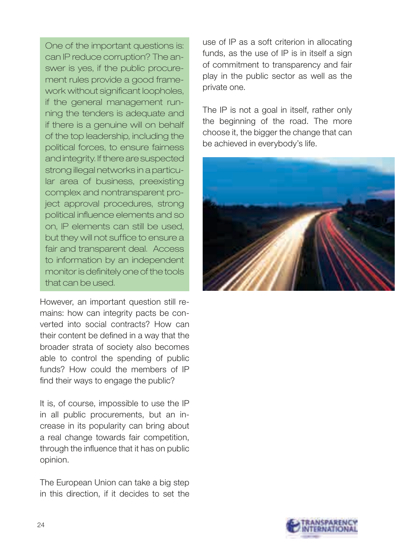One of the important questions is: can IP reduce corruption? The answer is yes, if the public procurement rules provide a good framework without significant loopholes, if the general management running the tenders is adequate and if there is a genuine will on behalf of the top leadership, including the political forces, to ensure fairness and integrity. If there are suspected strong illegal networks in a particular area of business, preexisting complex and nontransparent project approval procedures, strong political influence elements and so on, IP elements can still be used, but they will not suffice to ensure a fair and transparent deal. Access to information by an independent monitor is definitely one of the tools that can be used.

However, an important question still remains: how can integrity pacts be converted into social contracts? How can their content be defined in a way that the broader strata of society also becomes able to control the spending of public funds? How could the members of IP find their ways to engage the public?

It is, of course, impossible to use the IP in all public procurements, but an increase in its popularity can bring about a real change towards fair competition, through the influence that it has on public opinion.

The European Union can take a big step in this direction, if it decides to set the

use of IP as a soft criterion in allocating funds, as the use of IP is in itself a sign of commitment to transparency and fair play in the public sector as well as the private one.

The IP is not a goal in itself, rather only the beginning of the road. The more choose it, the bigger the change that can be achieved in everybody's life.